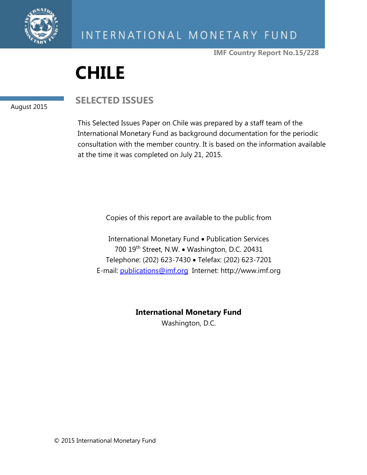

**IMF Country Report No.15/228**

# **CHILE**

#### August 2015

# **SELECTED ISSUES**

This Selected Issues Paper on Chile was prepared by a staff team of the International Monetary Fund as background documentation for the periodic consultation with the member country. It is based on the information available at the time it was completed on July 21, 2015.

Copies of this report are available to the public from

International Monetary Fund • Publication Services 700 19th Street, N.W. • Washington, D.C. 20431 Telephone: (202) 623-7430 · Telefax: (202) 623-7201 E-mail: [publications@imf.org](mailto:publications@imf.org) Internet: http://www.imf.org

**International Monetary Fund**

Washington, D.C.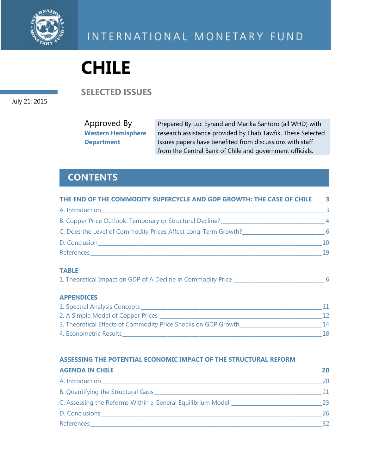

# **CHILE**

**SELECTED ISSUES**

July 21, 2015

Approved By **Western Hemisphere Department** Prepared By Luc Eyraud and Marika Santoro (all WHD) with research assistance provided by Ehab Tawfik. These Selected Issues papers have benefited from discussions with staff from the Central Bank of Chile and government officials.

# **CONTENTS**

| THE END OF THE COMMODITY SUPERCYCLE AND GDP GROWTH: THE CASE OF CHILE 3                                                                                                                                                            |     |
|------------------------------------------------------------------------------------------------------------------------------------------------------------------------------------------------------------------------------------|-----|
| A. Introduction<br>and the control of the control of the control of the control of the control of the control of the control of the                                                                                                | 3   |
| B. Copper Price Outlook: Temporary or Structural Decline?<br>4                                                                                                                                                                     |     |
| C. Does the Level of Commodity Prices Affect Long-Term Growth?                                                                                                                                                                     | - 6 |
| D. Conclusion <b>Executive Concernsion</b>                                                                                                                                                                                         | 10  |
| <b>References Exercísion Contract Contract Contract Contract Contract Contract Contract Contract Contract Contract Contract Contract Contract Contract Contract Contract Contract Contract Contract Contract Contract Contract</b> | 19  |
|                                                                                                                                                                                                                                    |     |

#### **TABLE**

| 1. Theoretical Impact on GDP of A Decline in Commodity Price |  |  |
|--------------------------------------------------------------|--|--|
|                                                              |  |  |

#### **APPENDICES**

| 1. Spectral Analysis Concepts                                  |     |
|----------------------------------------------------------------|-----|
| 2. A Simple Model of Copper Prices                             |     |
| 3. Theoretical Effects of Commodity Price Shocks on GDP Growth | 14. |
| 4. Econometric Results                                         | 18  |

#### **ASSESSING THE POTENTIAL ECONOMIC IMPACT OF THE STRUCTURAL REFORM**

| <b>AGENDA IN CHILE</b>                                                                                         | 20. |
|----------------------------------------------------------------------------------------------------------------|-----|
|                                                                                                                | 20  |
|                                                                                                                | 21. |
| C. Assessing the Reforms Within a General Equilibrium Model ____________________                               | 23  |
| D. Conclusions                                                                                                 | 26  |
| References and the contract of the contract of the contract of the contract of the contract of the contract of |     |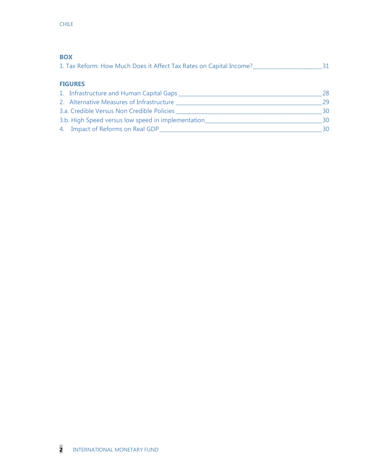| <b>BOX</b>                                                                 |    |  |  |
|----------------------------------------------------------------------------|----|--|--|
| 1. Tax Reform: How Much Does it Affect Tax Rates on Capital Income?_______ |    |  |  |
|                                                                            |    |  |  |
| <b>FIGURES</b>                                                             |    |  |  |
| 1. Infrastructure and Human Capital Gaps                                   | 28 |  |  |
| 2. Alternative Measures of Infrastructure                                  | 29 |  |  |
| 3.a. Credible Versus Non Credible Policies                                 | 30 |  |  |
| 3.b. High Speed versus low speed in implementation                         | 30 |  |  |
| 4. Impact of Reforms on Real GDP                                           | 30 |  |  |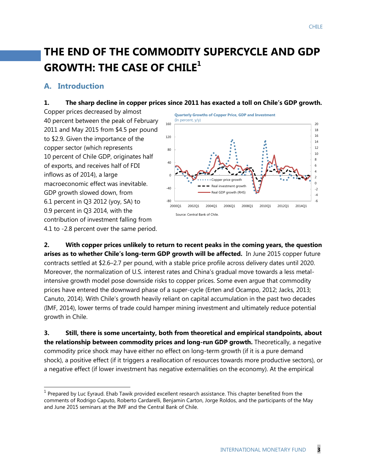# **THE END OF THE COMMODITY SUPERCYCLE AND GDP GROWTH: THE CASE OF CHILE<sup>1</sup>**

## **A. Introduction**

 $\overline{a}$ 

#### **1. The sharp decline in copper prices since 2011 has exacted a toll on Chile's GDP growth.**

Copper prices decreased by almost 40 percent between the peak of February 2011 and May 2015 from \$4.5 per pound to \$2.9. Given the importance of the copper sector (which represents 10 percent of Chile GDP, originates half of exports, and receives half of FDI inflows as of 2014), a large macroeconomic effect was inevitable. GDP growth slowed down, from 6.1 percent in Q3 2012 (yoy, SA) to 0.9 percent in Q3 2014, with the contribution of investment falling from 4.1 to -2.8 percent over the same period.



**2. With copper prices unlikely to return to recent peaks in the coming years, the question arises as to whether Chile's long-term GDP growth will be affected.** In June 2015 copper future contracts settled at \$2.6–2.7 per pound, with a stable price profile across delivery dates until 2020. Moreover, the normalization of U.S. interest rates and China's gradual move towards a less metalintensive growth model pose downside risks to copper prices. Some even argue that commodity prices have entered the downward phase of a super-cycle (Erten and Ocampo, 2012; Jacks, 2013; Canuto, 2014). With Chile's growth heavily reliant on capital accumulation in the past two decades (IMF, 2014), lower terms of trade could hamper mining investment and ultimately reduce potential growth in Chile.

**3. Still, there is some uncertainty, both from theoretical and empirical standpoints, about the relationship between commodity prices and long-run GDP growth.** Theoretically, a negative commodity price shock may have either no effect on long-term growth (if it is a pure demand shock), a positive effect (if it triggers a reallocation of resources towards more productive sectors), or a negative effect (if lower investment has negative externalities on the economy). At the empirical

 $<sup>1</sup>$  Prepared by Luc Eyraud. Ehab Tawik provided excellent research assistance. This chapter benefited from the</sup> comments of Rodrigo Caputo, Roberto Cardarelli, Benjamin Carton, Jorge Roldos, and the participants of the May and June 2015 seminars at the IMF and the Central Bank of Chile.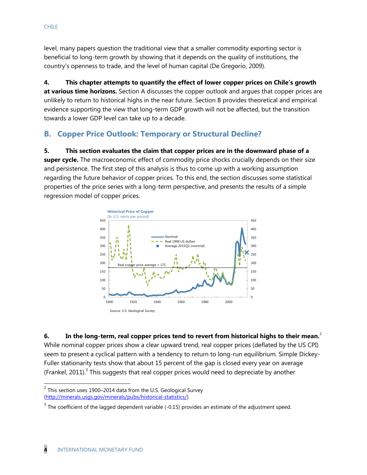level, many papers question the traditional view that a smaller commodity exporting sector is beneficial to long-term growth by showing that it depends on the quality of institutions, the country's openness to trade, and the level of human capital (De Gregorio, 2009).

**4. This chapter attempts to quantify the effect of lower copper prices on Chile's growth at various time horizons.** Section A discusses the copper outlook and argues that copper prices are unlikely to return to historical highs in the near future. Section B provides theoretical and empirical evidence supporting the view that long-term GDP growth will not be affected, but the transition towards a lower GDP level can take up to a decade.

# **B. Copper Price Outlook: Temporary or Structural Decline?**

**5. This section evaluates the claim that copper prices are in the downward phase of a super cycle.** The macroeconomic effect of commodity price shocks crucially depends on their size and persistence. The first step of this analysis is thus to come up with a working assumption regarding the future behavior of copper prices. To this end, the section discusses some statistical properties of the price series with a long-term perspective, and presents the results of a simple regression model of copper prices.



**6. In the long-term, real copper prices tend to revert from historical highs to their mean.**<sup>2</sup> While nominal copper prices show a clear upward trend, real copper prices (deflated by the US CPI) seem to present a cyclical pattern with a tendency to return to long-run equilibrium. Simple Dickey-Fuller stationarity tests show that about 15 percent of the gap is closed every year on average (Frankel, 2011).<sup>3</sup> This suggests that real copper prices would need to depreciate by another

 2 This section uses 1900–2014 data from the U.S. Geological Survey [\(http://minerals.usgs.gov/minerals/pubs/historical-statistics/\)](http://minerals.usgs.gov/minerals/pubs/historical-statistics/).

 $3$  The coefficient of the lagged dependent variable (-0.15) provides an estimate of the adjustment speed.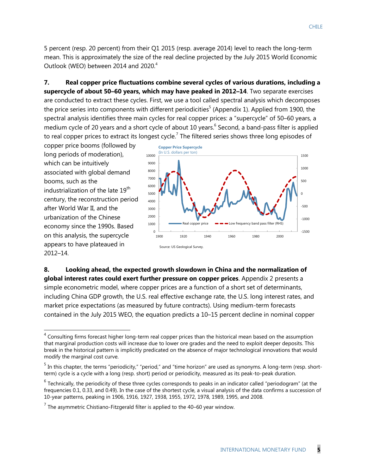5 percent (resp. 20 percent) from their Q1 2015 (resp. average 2014) level to reach the long-term mean. This is approximately the size of the real decline projected by the July 2015 World Economic Outlook (WEO) between 2014 and 2020.<sup>4</sup>

**7. Real copper price fluctuations combine several cycles of various durations, including a supercycle of about 50–60 years, which may have peaked in 2012–14**. Two separate exercises are conducted to extract these cycles. First, we use a tool called spectral analysis which decomposes the price series into components with different periodicities<sup>5</sup> (Appendix 1). Applied from 1900, the spectral analysis identifies three main cycles for real copper prices: a "supercycle" of 50–60 years, a medium cycle of 20 years and a short cycle of about 10 years.<sup>6</sup> Second, a band-pass filter is applied to real copper prices to extract its longest cycle.<sup>7</sup> The filtered series shows three long episodes of

copper price booms (followed by long periods of moderation), which can be intuitively associated with global demand booms, such as the industrialization of the late 19<sup>th</sup> century, the reconstruction period after World War II, and the urbanization of the Chinese economy since the 1990s. Based on this analysis, the supercycle appears to have plateaued in 2012–14.



**8. Looking ahead, the expected growth slowdown in China and the normalization of global interest rates could exert further pressure on copper prices**. Appendix 2 presents a simple econometric model, where copper prices are a function of a short set of determinants, including China GDP growth, the U.S. real effective exchange rate, the U.S. long interest rates, and market price expectations (as measured by future contracts). Using medium-term forecasts contained in the July 2015 WEO, the equation predicts a 10–15 percent decline in nominal copper

<sup>&</sup>lt;u>and the consulting firms forecast higher long-term real copper prices than the historical mean based on the assumption<br>The consulting firms forecast higher long-term real copper prices than the historical mean based on th</u> that marginal production costs will increase due to lower ore grades and the need to exploit deeper deposits. This break in the historical pattern is implicitly predicated on the absence of major technological innovations that would modify the marginal cost curve.

<sup>&</sup>lt;sup>5</sup> In this chapter, the terms "periodicity," "period," and "time horizon" are used as synonyms. A long-term (resp. shortterm) cycle is a cycle with a long (resp. short) period or periodicity, measured as its peak-to-peak duration.

 $^6$  Technically, the periodicity of these three cycles corresponds to peaks in an indicator called "periodogram" (at the frequencies 0.1, 0.33, and 0.49). In the case of the shortest cycle, a visual analysis of the data confirms a succession of 10-year patterns, peaking in 1906, 1916, 1927, 1938, 1955, 1972, 1978, 1989, 1995, and 2008.

 $<sup>7</sup>$  The asymmetric Chistiano-Fitzgerald filter is applied to the 40–60 year window.</sup>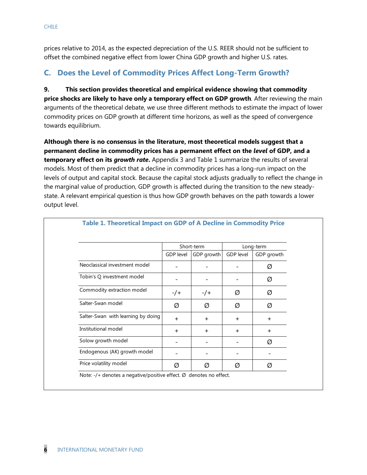prices relative to 2014, as the expected depreciation of the U.S. REER should not be sufficient to offset the combined negative effect from lower China GDP growth and higher U.S. rates.

# **C. Does the Level of Commodity Prices Affect Long-Term Growth?**

**9. This section provides theoretical and empirical evidence showing that commodity price shocks are likely to have only a temporary effect on GDP growth***.* After reviewing the main arguments of the theoretical debate, we use three different methods to estimate the impact of lower commodity prices on GDP growth at different time horizons, as well as the speed of convergence towards equilibrium.

**Although there is no consensus in the literature, most theoretical models suggest that a permanent decline in commodity prices has a permanent effect on the** *level* **of GDP, and a temporary effect on its** *growth rate***.** Appendix 3 and Table 1 summarize the results of several models. Most of them predict that a decline in commodity prices has a long-run impact on the levels of output and capital stock. Because the capital stock adjusts gradually to reflect the change in the marginal value of production, GDP growth is affected during the transition to the new steadystate. A relevant empirical question is thus how GDP growth behaves on the path towards a lower output level.

|                                    | Short-term |            |                  | Long-term  |
|------------------------------------|------------|------------|------------------|------------|
|                                    | GDP level  | GDP growth | <b>GDP</b> level | GDP growth |
| Neoclassical investment model      |            |            |                  | Ø          |
| Tobin's Q investment model         |            |            |                  | Ø          |
| Commodity extraction model         | $-/-$      | $-/-$      | Ø                | Ø          |
| Salter-Swan model                  | Ø          | Ø          | Ø                | Ø          |
| Salter-Swan with learning by doing | $\ddot{}$  | $+$        | $+$              | $\ddot{}$  |
| Institutional model                | $+$        | $+$        | $+$              | $\ddot{}$  |
| Solow growth model                 |            |            |                  | Ø          |
| Endogenous (AK) growth model       |            |            |                  |            |
| Price volatility model             | Ø          | Ø          | Ø                | Ø          |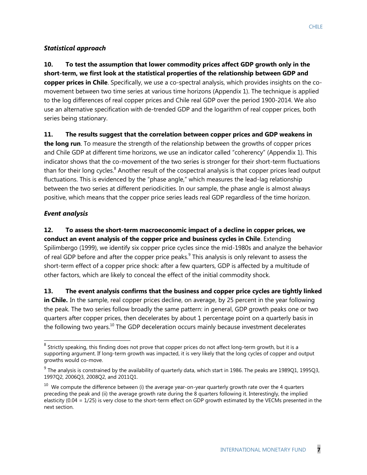#### *Statistical approach*

**10. To test the assumption that lower commodity prices affect GDP growth only in the short-term, we first look at the statistical properties of the relationship between GDP and copper prices in Chile**. Specifically, we use a co-spectral analysis, which provides insights on the comovement between two time series at various time horizons (Appendix 1). The technique is applied to the log differences of real copper prices and Chile real GDP over the period 1900-2014. We also use an alternative specification with de-trended GDP and the logarithm of real copper prices, both series being stationary.

**11. The results suggest that the correlation between copper prices and GDP weakens in** 

**the long run**. To measure the strength of the relationship between the growths of copper prices and Chile GDP at different time horizons, we use an indicator called "coherency" (Appendix 1). This indicator shows that the co-movement of the two series is stronger for their short-term fluctuations than for their long cycles.<sup>8</sup> Another result of the cospectral analysis is that copper prices lead output fluctuations. This is evidenced by the "phase angle," which measures the lead-lag relationship between the two series at different periodicities. In our sample, the phase angle is almost always positive, which means that the copper price series leads real GDP regardless of the time horizon.

#### *Event analysis*

**12. To assess the short-term macroeconomic impact of a decline in copper prices, we conduct an event analysis of the copper price and business cycles in Chile**. Extending Spilimbergo (1999), we identify six copper price cycles since the mid-1980s and analyze the behavior of real GDP before and after the copper price peaks.<sup>9</sup> This analysis is only relevant to assess the short-term effect of a copper price shock: after a few quarters, GDP is affected by a multitude of other factors, which are likely to conceal the effect of the initial commodity shock.

**13. The event analysis confirms that the business and copper price cycles are tightly linked**  in Chile. In the sample, real copper prices decline, on average, by 25 percent in the year following the peak. The two series follow broadly the same pattern: in general, GDP growth peaks one or two quarters after copper prices, then decelerates by about 1 percentage point on a quarterly basis in the following two years.<sup>10</sup> The GDP deceleration occurs mainly because investment decelerates

<sup>&</sup>lt;u>edd</u><br><sup>8</sup> Strictly speaking, this finding does not prove that copper prices do not affect long-term growth, but it is a supporting argument. If long-term growth was impacted, it is very likely that the long cycles of copper and output growths would co-move.

 $^9$  The analysis is constrained by the availability of quarterly data, which start in 1986. The peaks are 1989Q1, 1995Q3, 1997Q2, 2006Q3, 2008Q2, and 2011Q1.

 $^{10}$  We compute the difference between (i) the average year-on-year quarterly growth rate over the 4 quarters preceding the peak and (ii) the average growth rate during the 8 quarters following it. Interestingly, the implied elasticity (0.04 = 1/25) is very close to the short-term effect on GDP growth estimated by the VECMs presented in the next section.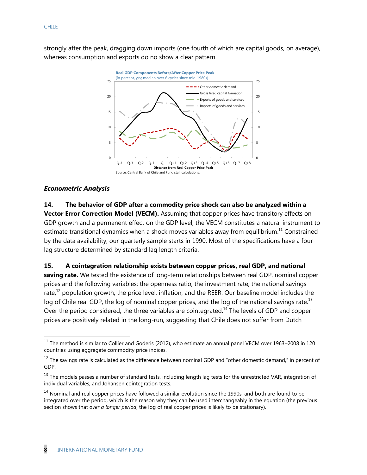strongly after the peak, dragging down imports (one fourth of which are capital goods, on average), whereas consumption and exports do no show a clear pattern.



#### *Econometric Analysis*

 $\overline{a}$ 

## **14. The behavior of GDP after a commodity price shock can also be analyzed within a Vector Error Correction Model (VECM).** Assuming that copper prices have transitory effects on GDP growth and a permanent effect on the GDP level, the VECM constitutes a natural instrument to estimate transitional dynamics when a shock moves variables away from equilibrium.<sup>11</sup> Constrained by the data availability, our quarterly sample starts in 1990. Most of the specifications have a fourlag structure determined by standard lag length criteria.

#### **15. A cointegration relationship exists between copper prices, real GDP, and national**

**saving rate.** We tested the existence of long-term relationships between real GDP, nominal copper prices and the following variables: the openness ratio, the investment rate, the national savings rate, $^{12}$  population growth, the price level, inflation, and the REER. Our baseline model includes the log of Chile real GDP, the log of nominal copper prices, and the log of the national savings rate.<sup>13</sup> Over the period considered, the three variables are cointegrated.<sup>14</sup> The levels of GDP and copper prices are positively related in the long-run, suggesting that Chile does not suffer from Dutch

 $11$  The method is similar to Collier and Goderis (2012), who estimate an annual panel VECM over 1963–2008 in 120 countries using aggregate commodity price indices.

 $12$  The savings rate is calculated as the difference between nominal GDP and "other domestic demand," in percent of GDP.

 $13$  The models passes a number of standard tests, including length lag tests for the unrestricted VAR, integration of individual variables, and Johansen cointegration tests.

 $14$  Nominal and real copper prices have followed a similar evolution since the 1990s, and both are found to be integrated over the period, which is the reason why they can be used interchangeably in the equation (the previous section shows that *over a longer period*, the log of real copper prices is likely to be stationary).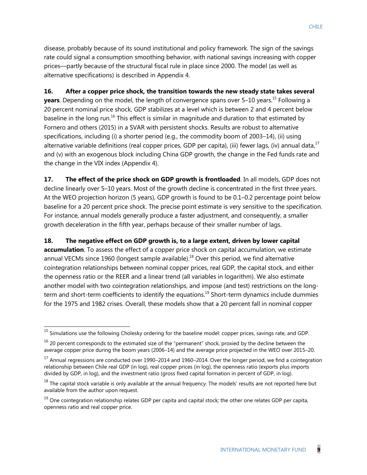disease, probably because of its sound institutional and policy framework. The sign of the savings rate could signal a consumption smoothing behavior, with national savings increasing with copper prices—partly because of the structural fiscal rule in place since 2000. The model (as well as alternative specifications) is described in Appendix 4.

**16. After a copper price shock, the transition towards the new steady state takes several years**. Depending on the model, the length of convergence spans over 5–10 years.<sup>15</sup> Following a 20 percent nominal price shock, GDP stabilizes at a level which is between 2 and 4 percent below baseline in the long run.<sup>16</sup> This effect is similar in magnitude and duration to that estimated by Fornero and others (2015) in a SVAR with persistent shocks. Results are robust to alternative specifications, including (i) a shorter period (e.g., the commodity boom of 2003–14), (ii) using alternative variable definitions (real copper prices, GDP per capita), (iii) fewer lags, (iv) annual data,<sup>17</sup> and (v) with an exogenous block including China GDP growth, the change in the Fed funds rate and the change in the VIX index (Appendix 4).

**17.** The effect of the price shock on GDP growth is frontloaded. In all models, GDP does not decline linearly over 5–10 years. Most of the growth decline is concentrated in the first three years. At the WEO projection horizon (5 years), GDP growth is found to be 0.1–0.2 percentage point below baseline for a 20 percent price shock. The precise point estimate is very sensitive to the specification. For instance, annual models generally produce a faster adjustment, and consequently, a smaller growth deceleration in the fifth year, perhaps because of their smaller number of lags.

## **18. The negative effect on GDP growth is, to a large extent, driven by lower capital**

**accumulation**. To assess the effect of a copper price shock on capital accumulation, we estimate annual VECMs since 1960 (longest sample available).<sup>18</sup> Over this period, we find alternative cointegration relationships between nominal copper prices, real GDP, the capital stock, and either the openness ratio or the REER and a linear trend (all variables in logarithm). We also estimate another model with two cointegration relationships, and impose (and test) restrictions on the longterm and short-term coefficients to identify the equations.<sup>19</sup> Short-term dynamics include dummies for the 1975 and 1982 crises. Overall, these models show that a 20 percent fall in nominal copper

 $\overline{a}$ 

<sup>&</sup>lt;sup>15</sup> Simulations use the following Cholesky ordering for the baseline model: copper prices, savings rate, and GDP.

 $16$  20 percent corresponds to the estimated size of the "permanent" shock, proxied by the decline between the average copper price during the boom years (2006–14) and the average price projected in the WEO over 2015–20.

<sup>&</sup>lt;sup>17</sup> Annual regressions are conducted over 1990–2014 and 1960–2014. Over the longer period, we find a cointegration relationship between Chile real GDP (in log), real copper prices (in log), the openness ratio (exports plus imports divided by GDP, in log), and the investment ratio (gross fixed capital formation in percent of GDP, in log).

 $18$  The capital stock variable is only available at the annual frequency. The models' results are not reported here but available from the author upon request.

 $19$  One cointegration relationship relates GDP per capita and capital stock; the other one relates GDP per capita, openness ratio and real copper price.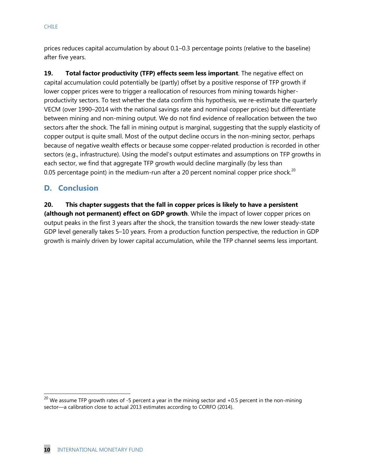prices reduces capital accumulation by about 0.1–0.3 percentage points (relative to the baseline) after five years.

**19. Total factor productivity (TFP) effects seem less important**. The negative effect on capital accumulation could potentially be (partly) offset by a positive response of TFP growth if lower copper prices were to trigger a reallocation of resources from mining towards higherproductivity sectors. To test whether the data confirm this hypothesis, we re-estimate the quarterly VECM (over 1990–2014 with the national savings rate and nominal copper prices) but differentiate between mining and non-mining output. We do not find evidence of reallocation between the two sectors after the shock. The fall in mining output is marginal, suggesting that the supply elasticity of copper output is quite small. Most of the output decline occurs in the non-mining sector, perhaps because of negative wealth effects or because some copper-related production is recorded in other sectors (e.g., infrastructure). Using the model's output estimates and assumptions on TFP growths in each sector, we find that aggregate TFP growth would decline marginally (by less than 0.05 percentage point) in the medium-run after a 20 percent nominal copper price shock.<sup>20</sup>

# **D. Conclusion**

### **20. This chapter suggests that the fall in copper prices is likely to have a persistent**

**(although not permanent) effect on GDP growth**. While the impact of lower copper prices on output peaks in the first 3 years after the shock, the transition towards the new lower steady-state GDP level generally takes 5–10 years. From a production function perspective, the reduction in GDP growth is mainly driven by lower capital accumulation, while the TFP channel seems less important.

 $\overline{a}$ 

<sup>&</sup>lt;sup>20</sup> We assume TFP growth rates of -5 percent a year in the mining sector and +0.5 percent in the non-mining sector—a calibration close to actual 2013 estimates according to CORFO (2014).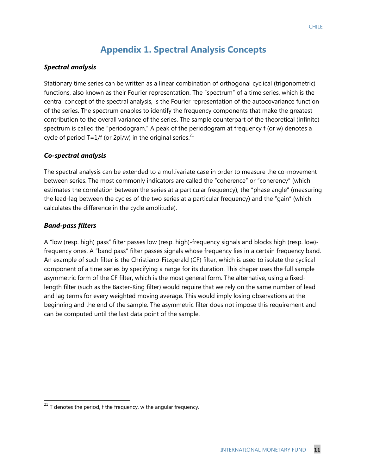# **Appendix 1. Spectral Analysis Concepts**

#### *Spectral analysis*

Stationary time series can be written as a linear combination of orthogonal cyclical (trigonometric) functions, also known as their Fourier representation. The "spectrum" of a time series, which is the central concept of the spectral analysis, is the Fourier representation of the autocovariance function of the series. The spectrum enables to identify the frequency components that make the greatest contribution to the overall variance of the series. The sample counterpart of the theoretical (infinite) spectrum is called the "periodogram." A peak of the periodogram at frequency f (or w) denotes a cycle of period  $T=1/f$  (or 2pi/w) in the original series.<sup>21</sup>

#### *Co-spectral analysis*

The spectral analysis can be extended to a multivariate case in order to measure the co-movement between series. The most commonly indicators are called the "coherence" or "coherency" (which estimates the correlation between the series at a particular frequency), the "phase angle" (measuring the lead-lag between the cycles of the two series at a particular frequency) and the "gain" (which calculates the difference in the cycle amplitude).

#### *Band-pass filters*

 $\overline{a}$ 

A "low (resp. high) pass" filter passes low (resp. high)-frequency signals and blocks high (resp. low) frequency ones. A "band pass" filter passes signals whose frequency lies in a certain frequency band. An example of such filter is the Christiano-Fitzgerald (CF) filter, which is used to isolate the cyclical component of a time series by specifying a range for its duration. This chaper uses the full sample asymmetric form of the CF filter, which is the most general form. The alternative, using a fixedlength filter (such as the Baxter-King filter) would require that we rely on the same number of lead and lag terms for every weighted moving average. This would imply losing observations at the beginning and the end of the sample. The asymmetric filter does not impose this requirement and can be computed until the last data point of the sample.

 $^{21}$  T denotes the period, f the frequency, w the angular frequency.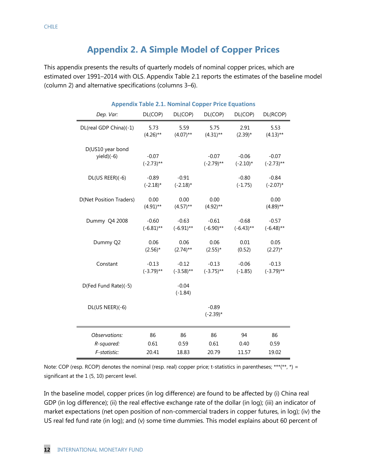# **Appendix 2. A Simple Model of Copper Prices**

This appendix presents the results of quarterly models of nominal copper prices, which are estimated over 1991–2014 with OLS. Appendix Table 2.1 reports the estimates of the baseline model (column 2) and alternative specifications (columns 3–6).

| Dep. Var:                      | DL(COP)                 | DL(COP)                 | Appendix Table 2.1. Nominal Copper Price Equations<br>DL(COP) | DL(COP)                 | DL(RCOP)                |
|--------------------------------|-------------------------|-------------------------|---------------------------------------------------------------|-------------------------|-------------------------|
| DL(real GDP China)(-1)         | 5.73<br>$(4.26)$ **     | 5.59<br>$(4.07)$ **     | 5.75<br>$(4.31)$ **                                           | 2.91<br>$(2.39)^*$      | 5.53<br>$(4.13)$ **     |
| D(US10 year bond<br>yield)(-6) | $-0.07$<br>$(-2.73)$ ** |                         | $-0.07$<br>$(-2.79)$ **                                       | $-0.06$<br>$(-2.10)^*$  | $-0.07$<br>$(-2.73)$ ** |
| DL(US REER)(-6)                | $-0.89$<br>$(-2.18)$ *  | $-0.91$<br>$(-2.18)$ *  |                                                               | $-0.80$<br>$(-1.75)$    | $-0.84$<br>$(-2.07)$ *  |
| <b>D(Net Position Traders)</b> | 0.00<br>$(4.91)$ **     | 0.00<br>$(4.57)$ **     | 0.00<br>$(4.92)$ **                                           |                         | 0.00<br>$(4.89)$ **     |
| Dummy Q4 2008                  | $-0.60$<br>$(-6.81)$ ** | $-0.63$<br>$(-6.91)$ ** | $-0.61$<br>$(-6.90)$ **                                       | $-0.68$<br>$(-6.43)$ ** | $-0.57$<br>$(-6.48)$ ** |
| Dummy Q2                       | 0.06<br>$(2.56)^*$      | 0.06<br>$(2.74)$ **     | 0.06<br>$(2.55)^*$                                            | 0.01<br>(0.52)          | 0.05<br>$(2.27)^*$      |
| Constant                       | $-0.13$<br>$(-3.79)$ ** | $-0.12$<br>$(-3.58)$ ** | $-0.13$<br>$(-3.75)$ **                                       | $-0.06$<br>$(-1.85)$    | $-0.13$<br>$(-3.79)$ ** |
| D(Fed Fund Rate)(-5)           |                         | $-0.04$<br>$(-1.84)$    |                                                               |                         |                         |
| DL(US NEER)(-6)                |                         |                         | $-0.89$<br>$(-2.39)$ *                                        |                         |                         |
| Observations:                  | 86                      | 86                      | 86                                                            | 94                      | 86                      |
| R-squared:                     | 0.61                    | 0.59                    | 0.61                                                          | 0.40                    | 0.59                    |
| F-statistic:                   | 20.41                   | 18.83                   | 20.79                                                         | 11.57                   | 19.02                   |

## **Appendix Table 2.1. Nominal Copper Price Equations**

Note: COP (resp. RCOP) denotes the nominal (resp. real) copper price; t-statistics in parentheses; \*\*\*(\*\*, \*) = significant at the 1 (5, 10) percent level.

In the baseline model, copper prices (in log difference) are found to be affected by (i) China real GDP (in log difference); (ii) the real effective exchange rate of the dollar (in log); (iii) an indicator of market expectations (net open position of non-commercial traders in copper futures, in log); (iv) the US real fed fund rate (in log); and (v) some time dummies. This model explains about 60 percent of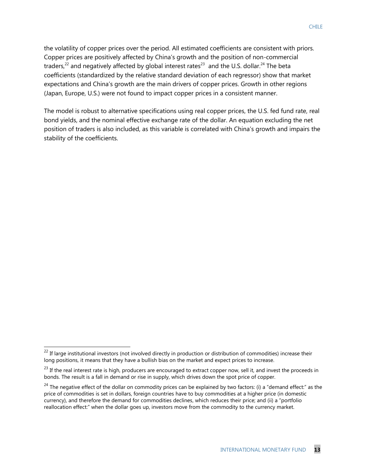the volatility of copper prices over the period. All estimated coefficients are consistent with priors. Copper prices are positively affected by China's growth and the position of non-commercial traders,<sup>22</sup> and negatively affected by global interest rates<sup>23</sup> and the U.S. dollar.<sup>24</sup> The beta coefficients (standardized by the relative standard deviation of each regressor) show that market expectations and China's growth are the main drivers of copper prices. Growth in other regions (Japan, Europe, U.S.) were not found to impact copper prices in a consistent manner.

The model is robust to alternative specifications using real copper prices, the U.S. fed fund rate, real bond yields, and the nominal effective exchange rate of the dollar. An equation excluding the net position of traders is also included, as this variable is correlated with China's growth and impairs the stability of the coefficients.

 $\overline{a}$ 

 $^{22}$  If large institutional investors (not involved directly in production or distribution of commodities) increase their long positions, it means that they have a bullish bias on the market and expect prices to increase.

 $^{23}$  If the real interest rate is high, producers are encouraged to extract copper now, sell it, and invest the proceeds in bonds. The result is a fall in demand or rise in supply, which drives down the spot price of copper.

 $24$  The negative effect of the dollar on commodity prices can be explained by two factors: (i) a "demand effect:" as the price of commodities is set in dollars, foreign countries have to buy commodities at a higher price (in domestic currency), and therefore the demand for commodities declines, which reduces their price; and (ii) a "portfolio reallocation effect:" when the dollar goes up, investors move from the commodity to the currency market.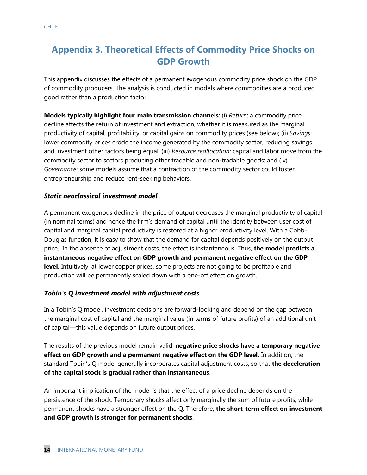# **Appendix 3. Theoretical Effects of Commodity Price Shocks on GDP Growth**

This appendix discusses the effects of a permanent exogenous commodity price shock on the GDP of commodity producers. The analysis is conducted in models where commodities are a produced good rather than a production factor.

**Models typically highlight four main transmission channels**: (i) *Return*: a commodity price decline affects the return of investment and extraction, whether it is measured as the marginal productivity of capital, profitability, or capital gains on commodity prices (see below); (ii) *Savings*: lower commodity prices erode the income generated by the commodity sector, reducing savings and investment other factors being equal; (iii) *Resource reallocation:* capital and labor move from the commodity sector to sectors producing other tradable and non-tradable goods; and (iv) *Governance*: some models assume that a contraction of the commodity sector could foster entrepreneurship and reduce rent-seeking behaviors.

#### *Static neoclassical investment model*

A permanent exogenous decline in the price of output decreases the marginal productivity of capital (in nominal terms) and hence the firm's demand of capital until the identity between user cost of capital and marginal capital productivity is restored at a higher productivity level. With a Cobb-Douglas function, it is easy to show that the demand for capital depends positively on the output price. In the absence of adjustment costs, the effect is instantaneous. Thus, **the model predicts a instantaneous negative effect on GDP growth and permanent negative effect on the GDP level.** Intuitively, at lower copper prices, some projects are not going to be profitable and production will be permanently scaled down with a one-off effect on growth.

#### *Tobin's Q investment model with adjustment costs*

In a Tobin's Q model, investment decisions are forward-looking and depend on the gap between the marginal cost of capital and the marginal value (in terms of future profits) of an additional unit of capital—this value depends on future output prices.

The results of the previous model remain valid: **negative price shocks have a temporary negative effect on GDP growth and a permanent negative effect on the GDP level.** In addition, the standard Tobin's Q model generally incorporates capital adjustment costs, so that **the deceleration of the capital stock is gradual rather than instantaneous**.

An important implication of the model is that the effect of a price decline depends on the persistence of the shock. Temporary shocks affect only marginally the sum of future profits, while permanent shocks have a stronger effect on the Q. Therefore, **the short-term effect on investment and GDP growth is stronger for permanent shocks**.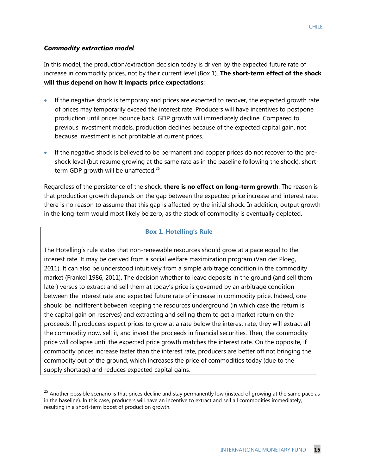#### *Commodity extraction model*

 $\overline{a}$ 

In this model, the production/extraction decision today is driven by the expected future rate of increase in commodity prices, not by their current level (Box 1). **The short-term effect of the shock will thus depend on how it impacts price expectations**:

- If the negative shock is temporary and prices are expected to recover, the expected growth rate of prices may temporarily exceed the interest rate. Producers will have incentives to postpone production until prices bounce back. GDP growth will immediately decline. Compared to previous investment models, production declines because of the expected capital gain, not because investment is not profitable at current prices.
- If the negative shock is believed to be permanent and copper prices do not recover to the preshock level (but resume growing at the same rate as in the baseline following the shock), shortterm GDP growth will be unaffected.<sup>25</sup>

Regardless of the persistence of the shock, **there is no effect on long-term growth**. The reason is that production growth depends on the gap between the expected price increase and interest rate; there is no reason to assume that this gap is affected by the initial shock. In addition, output growth in the long-term would most likely be zero, as the stock of commodity is eventually depleted.

#### **Box 1. Hotelling's Rule**

The Hotelling's rule states that non-renewable resources should grow at a pace equal to the interest rate. It may be derived from a social welfare maximization program (Van der Ploeg, 2011). It can also be understood intuitively from a simple arbitrage condition in the commodity market (Frankel 1986, 2011). The decision whether to leave deposits in the ground (and sell them later) versus to extract and sell them at today's price is governed by an arbitrage condition between the interest rate and expected future rate of increase in commodity price. Indeed, one should be indifferent between keeping the resources underground (in which case the return is the capital gain on reserves) and extracting and selling them to get a market return on the proceeds. If producers expect prices to grow at a rate below the interest rate, they will extract all the commodity now, sell it, and invest the proceeds in financial securities. Then, the commodity price will collapse until the expected price growth matches the interest rate. On the opposite, if commodity prices increase faster than the interest rate, producers are better off not bringing the commodity out of the ground, which increases the price of commodities today (due to the supply shortage) and reduces expected capital gains.

 $^{25}$  Another possible scenario is that prices decline and stay permanently low (instead of growing at the same pace as in the baseline). In this case, producers will have an incentive to extract and sell all commodities immediately, resulting in a short-term boost of production growth.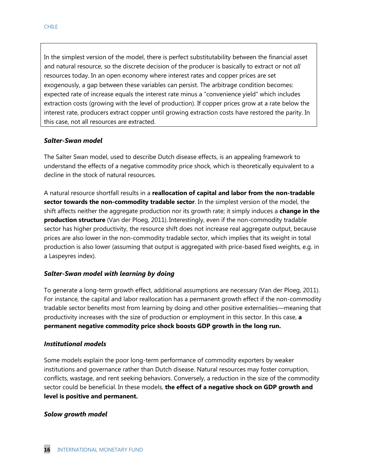In the simplest version of the model, there is perfect substitutability between the financial asset and natural resource, so the discrete decision of the producer is basically to extract or not *all* resources today. In an open economy where interest rates and copper prices are set exogenously, a gap between these variables can persist. The arbitrage condition becomes: expected rate of increase equals the interest rate minus a "convenience yield" which includes extraction costs (growing with the level of production). If copper prices grow at a rate below the interest rate, producers extract copper until growing extraction costs have restored the parity. In this case, not all resources are extracted.

#### *Salter-Swan model*

The Salter Swan model, used to describe Dutch disease effects, is an appealing framework to understand the effects of a negative commodity price shock, which is theoretically equivalent to a decline in the stock of natural resources.

A natural resource shortfall results in a **reallocation of capital and labor from the non-tradable sector towards the non-commodity tradable sector**. In the simplest version of the model, the shift affects neither the aggregate production nor its growth rate; it simply induces a **change in the production structure** (Van der Ploeg, 2011). Interestingly, even if the non-commodity tradable sector has higher productivity, the resource shift does not increase real aggregate output, because prices are also lower in the non-commodity tradable sector, which implies that its weight in total production is also lower (assuming that output is aggregated with price-based fixed weights, e.g. in a Laspeyres index).

#### *Salter-Swan model with learning by doing*

To generate a long-term growth effect, additional assumptions are necessary (Van der Ploeg, 2011). For instance, the capital and labor reallocation has a permanent growth effect if the non-commodity tradable sector benefits most from learning by doing and other positive externalities—meaning that productivity increases with the size of production or employment in this sector. In this case, **a permanent negative commodity price shock boosts GDP growth in the long run.** 

#### *Institutional models*

Some models explain the poor long-term performance of commodity exporters by weaker institutions and governance rather than Dutch disease. Natural resources may foster corruption, conflicts, wastage, and rent seeking behaviors. Conversely, a reduction in the size of the commodity sector could be beneficial. In these models, **the effect of a negative shock on GDP growth and level is positive and permanent.** 

#### *Solow growth model*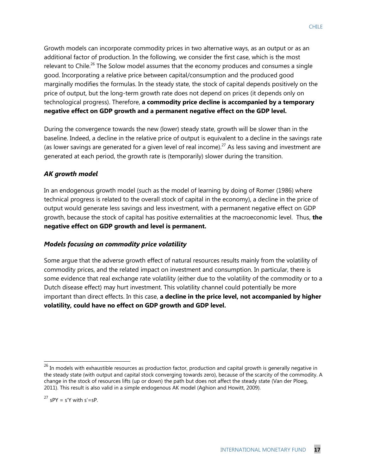Growth models can incorporate commodity prices in two alternative ways, as an output or as an additional factor of production. In the following, we consider the first case, which is the most relevant to Chile.<sup>26</sup> The Solow model assumes that the economy produces and consumes a single good. Incorporating a relative price between capital/consumption and the produced good marginally modifies the formulas. In the steady state, the stock of capital depends positively on the price of output, but the long-term growth rate does not depend on prices (it depends only on technological progress). Therefore, **a commodity price decline is accompanied by a temporary negative effect on GDP growth and a permanent negative effect on the GDP level.** 

During the convergence towards the new (lower) steady state, growth will be slower than in the baseline. Indeed, a decline in the relative price of output is equivalent to a decline in the savings rate (as lower savings are generated for a given level of real income).<sup>27</sup> As less saving and investment are generated at each period, the growth rate is (temporarily) slower during the transition.

#### *AK growth model*

In an endogenous growth model (such as the model of learning by doing of Romer (1986) where technical progress is related to the overall stock of capital in the economy), a decline in the price of output would generate less savings and less investment, with a permanent negative effect on GDP growth, because the stock of capital has positive externalities at the macroeconomic level. Thus, **the negative effect on GDP growth and level is permanent.** 

#### *Models focusing on commodity price volatility*

Some argue that the adverse growth effect of natural resources results mainly from the volatility of commodity prices, and the related impact on investment and consumption. In particular, there is some evidence that real exchange rate volatility (either due to the volatility of the commodity or to a Dutch disease effect) may hurt investment. This volatility channel could potentially be more important than direct effects. In this case, **a decline in the price level, not accompanied by higher volatility, could have no effect on GDP growth and GDP level.** 

 $\overline{a}$ 

 $^{26}$  In models with exhaustible resources as production factor, production and capital growth is generally negative in the steady state (with output and capital stock converging towards zero), because of the scarcity of the commodity. A change in the stock of resources lifts (up or down) the path but does not affect the steady state (Van der Ploeg, 2011). This result is also valid in a simple endogenous AK model (Aghion and Howitt, 2009).

<sup>&</sup>lt;sup>27</sup> sPY = s'Y with s'=sP.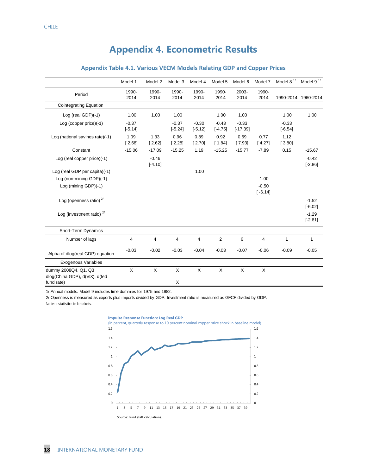# **Appendix 4. Econometric Results**

|                                                                      | Model 1              | Model 2              | Model 3              | Model 4              | Model 5              | Model 6               | Model 7              | Model 8 $1/$         | Model 9 $1/$         |
|----------------------------------------------------------------------|----------------------|----------------------|----------------------|----------------------|----------------------|-----------------------|----------------------|----------------------|----------------------|
| Period                                                               | 1990-<br>2014        | 1990-<br>2014        | 1990-<br>2014        | 1990-<br>2014        | 1990-<br>2014        | 2003-<br>2014         | 1990-<br>2014        | 1990-2014            | 1960-2014            |
| <b>Cointegrating Equation</b>                                        |                      |                      |                      |                      |                      |                       |                      |                      |                      |
| Log (real GDP)(-1)                                                   | 1.00                 | 1.00                 | 1.00                 |                      | 1.00                 | 1.00                  |                      | 1.00                 | 1.00                 |
| Log (copper price)(-1)                                               | $-0.37$<br>$[-5.14]$ |                      | $-0.37$<br>$[-5.24]$ | $-0.30$<br>$[-5.12]$ | $-0.43$<br>$[-4.75]$ | $-0.33$<br>$[-17.39]$ |                      | $-0.33$<br>$[-6.54]$ |                      |
| Log (national savings rate)(-1)                                      | 1.09<br>[2.68]       | 1.33<br>[2.62]       | 0.96<br>[2.28]       | 0.89<br>[2.70]       | 0.92<br>[1.84]       | 0.69<br>[7.93]        | 0.77<br>[4.27]       | 1.12<br>[3.80]       |                      |
| Constant                                                             | $-15.06$             | $-17.09$             | $-15.25$             | 1.19                 | $-15.25$             | $-15.77$              | $-7.89$              | 0.15                 | $-15.67$             |
| Log (real copper price)(-1)                                          |                      | $-0.46$<br>$[-4.10]$ |                      |                      |                      |                       |                      |                      | $-0.42$<br>$[-2.86]$ |
| Log (real GDP per capita)(-1)                                        |                      |                      |                      | 1.00                 |                      |                       |                      |                      |                      |
| Log (non-mining GDP)(-1)                                             |                      |                      |                      |                      |                      |                       | 1.00                 |                      |                      |
| Log (mining GDP)(-1)                                                 |                      |                      |                      |                      |                      |                       | $-0.50$<br>$[-6.14]$ |                      |                      |
| Log (openness ratio) $2/$                                            |                      |                      |                      |                      |                      |                       |                      |                      | $-1.52$<br>$[-6.02]$ |
| Log (investment ratio) $2^{7}$                                       |                      |                      |                      |                      |                      |                       |                      |                      | $-1.29$<br>$[-2.81]$ |
| Short-Term Dynamics                                                  |                      |                      |                      |                      |                      |                       |                      |                      |                      |
| Number of lags                                                       | 4                    | 4                    | 4                    | 4                    | $\overline{2}$       | 6                     | 4                    | 1                    | 1                    |
| Alpha of dlog(real GDP) equation                                     | $-0.03$              | $-0.02$              | $-0.03$              | $-0.04$              | $-0.03$              | $-0.07$               | $-0.06$              | $-0.09$              | $-0.05$              |
| Exogenous Variables                                                  |                      |                      |                      |                      |                      |                       |                      |                      |                      |
| dummy 2008Q4, Q1, Q3<br>dlog(China GDP), d(VIX), d(fed<br>fund rate) | X                    | X                    | X<br>X               | X                    | X                    | X                     | X                    |                      |                      |

#### **Appendix Table 4.1. Various VECM Models Relating GDP and Copper Prices**

1/ Annual models. Model 9 includes time dummies for 1975 and 1982.

2/ Openness is measured as exports plus imports divided by GDP. Investment ratio is measured as GFCF divided by GDP. Note: t-statistics in brackets.  $\sim 10^{-1}$ 

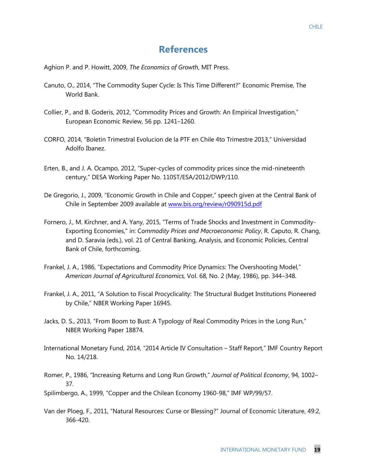## **References**

Aghion P. and P. Howitt, 2009, *The Economics of Growth*, MIT Press.

- Canuto, O., 2014, "The Commodity Super Cycle: Is This Time Different?" Economic Premise, The World Bank.
- Collier, P., and B. Goderis, 2012, "Commodity Prices and Growth: An Empirical Investigation," European Economic Review, 56 pp. 1241–1260.
- CORFO, 2014, "Boletin Trimestral Evolucion de la PTF en Chile 4to Trimestre 2013," Universidad Adolfo Ibanez.
- Erten, B., and J. A. Ocampo, 2012, "Super-cycles of commodity prices since the mid-nineteenth century," DESA Working Paper No. 110ST/ESA/2012/DWP/110.
- De Gregorio, J., 2009, "Economic Growth in Chile and Copper," speech given at the Central Bank of Chile in September 2009 available at [www.bis.org/review/r090915d.pdf](http://www.bis.org/review/r090915d.pdf)
- Fornero, J., M. Kirchner, and A. Yany, 2015, "Terms of Trade Shocks and Investment in Commodity-Exporting Economies," in: C*ommodity Prices and Macroeconomic Policy*, R. Caputo, R. Chang, and D. Saravia (eds.), vol. 21 of Central Banking, Analysis, and Economic Policies, Central Bank of Chile, forthcoming.
- Frankel, J. A., 1986, "Expectations and Commodity Price Dynamics: The Overshooting Model," *American Journal of Agricultural Economics,* Vol. 68, No. 2 (May, 1986), pp. 344–348.
- Frankel, J. A., 2011, "A Solution to Fiscal Procyclicality: The Structural Budget Institutions Pioneered by Chile," NBER Working Paper 16945.
- Jacks, D. S., 2013, "From Boom to Bust: A Typology of Real Commodity Prices in the Long Run," NBER Working Paper 18874.
- International Monetary Fund, 2014, "2014 Article IV Consultation Staff Report," IMF Country Report No. 14/218.
- Romer, P., 1986, "Increasing Returns and Long Run Growth," *Journal of Political Economy*, 94, 1002– 37.

Spilimbergo, A., 1999, "Copper and the Chilean Economy 1960-98," IMF WP/99/57.

Van der Ploeg, F., 2011, "Natural Resources: Curse or Blessing?" Journal of Economic Literature, 49:2, 366-420.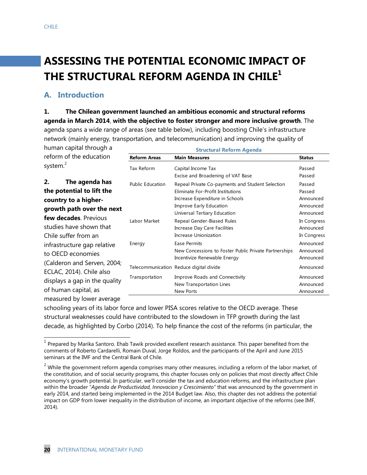# **ASSESSING THE POTENTIAL ECONOMIC IMPACT OF THE STRUCTURAL REFORM AGENDA IN CHILE<sup>1</sup>**

# **A. Introduction**

**1. The Chilean government launched an ambitious economic and structural reforms agenda in March 2014**, **with the objective to foster stronger and more inclusive growth**. The agenda spans a wide range of areas (see table below), including boosting Chile's infrastructure network (mainly energy, transportation, and telecommunication) and improving the quality of

human capital through a reform of the education

**Structural Reform Agenda**

|                      | reform of the education       | <b>Reform Areas</b>     | <b>Main Measures</b>                                  | <b>Status</b> |
|----------------------|-------------------------------|-------------------------|-------------------------------------------------------|---------------|
| system. <sup>2</sup> |                               | Tax Reform              | Capital Income Tax                                    | Passed        |
|                      |                               |                         | Excise and Broadening of VAT Base                     | Passed        |
| 2.                   | The agenda has                | <b>Public Education</b> | Repeal Private Co-payments and Student Selection      | Passed        |
|                      | the potential to lift the     |                         | Eliminate For-Profit Institutions                     | Passed        |
|                      | country to a higher-          |                         | Increase Expenditure in Schools                       | Announced     |
|                      | growth path over the next     |                         | Improve Early Education                               | Announced     |
|                      |                               |                         | Universal Tertiary Education                          | Announced     |
|                      | <b>few decades</b> . Previous | Labor Market            | Repeal Gender-Biased Rules                            | In Congress   |
|                      | studies have shown that       |                         | Increase Day Care Facilities                          | Announced     |
|                      | Chile suffer from an          |                         | Increase Unionization                                 | In Congress   |
|                      | infrastructure gap relative   | Energy                  | Ease Permits                                          | Announced     |
|                      | to OECD economies             |                         | New Concessions to Foster Public Private Partnerships | Announced     |
|                      |                               |                         | Incentivize Renewable Energy                          | Announced     |
|                      | (Calderon and Serven, 2004;   |                         | Telecommunication Reduce digital divide               | Announced     |
|                      | ECLAC, 2014). Chile also      | Transportation          | Improve Roads and Connectivity                        | Announced     |
|                      | displays a gap in the quality |                         | New Transportation Lines                              | Announced     |
|                      | of human capital, as          |                         | New Ports                                             | Announced     |
|                      | measured by lower average     |                         |                                                       |               |

schooling years of its labor force and lower PISA scores relative to the OECD average. These structural weaknesses could have contributed to the slowdown in TFP growth during the last decade, as highlighted by Corbo (2014). To help finance the cost of the reforms (in particular, the

<sup>&</sup>lt;u>nd the prepared by Marika Santoro. Ehab Tawik provided excellent research assistance. This paper benefited from the<br>The pared by Marika Santoro. Ehab Tawik provided excellent research assistance. This paper benefited from</u> comments of Roberto Cardarelli, Romain Duval, Jorge Roldos, and the participants of the April and June 2015 seminars at the IMF and the Central Bank of Chile.

 $2$  While the government reform agenda comprises many other measures, including a reform of the labor market, of the constitution, and of social security programs, this chapter focuses only on policies that most directly affect Chile economy's growth potential. In particular, we'll consider the tax and education reforms, and the infrastructure plan within the broader "*Agenda de Productividad, Innovacion y Crescimiento"* that was announced by the government in early 2014, and started being implemented in the 2014 Budget law. Also, this chapter des not address the potential impact on GDP from lower inequality in the distribution of income, an important objective of the reforms (see IMF, 2014).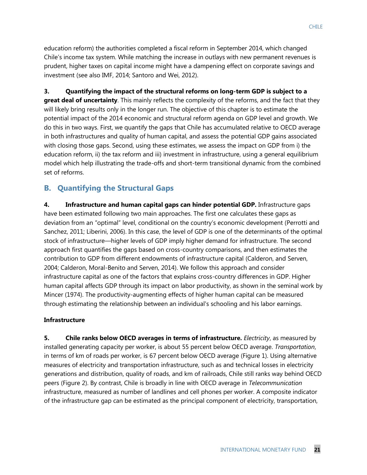education reform) the authorities completed a fiscal reform in September 2014, which changed Chile's income tax system. While matching the increase in outlays with new permanent revenues is prudent, higher taxes on capital income might have a dampening effect on corporate savings and investment (see also IMF, 2014; Santoro and Wei, 2012).

**3. Quantifying the impact of the structural reforms on long-term GDP is subject to a great deal of uncertainty**. This mainly reflects the complexity of the reforms, and the fact that they will likely bring results only in the longer run. The objective of this chapter is to estimate the potential impact of the 2014 economic and structural reform agenda on GDP level and growth. We do this in two ways. First, we quantify the gaps that Chile has accumulated relative to OECD average in both infrastructures and quality of human capital, and assess the potential GDP gains associated with closing those gaps. Second, using these estimates, we assess the impact on GDP from i) the education reform, ii) the tax reform and iii) investment in infrastructure, using a general equilibrium model which help illustrating the trade-offs and short-term transitional dynamic from the combined set of reforms.

# **B. Quantifying the Structural Gaps**

**4. Infrastructure and human capital gaps can hinder potential GDP.** Infrastructure gaps have been estimated following two main approaches. The first one calculates these gaps as deviation from an "optimal" level, conditional on the country's economic development (Perrotti and Sanchez, 2011; Liberini, 2006). In this case, the level of GDP is one of the determinants of the optimal stock of infrastructure—higher levels of GDP imply higher demand for infrastructure. The second approach first quantifies the gaps based on cross-country comparisons, and then estimates the contribution to GDP from different endowments of infrastructure capital (Calderon, and Serven, 2004; Calderon, Moral-Benito and Serven, 2014). We follow this approach and consider infrastructure capital as one of the factors that explains cross-country differences in GDP. Higher human capital affects GDP through its impact on labor productivity, as shown in the seminal work by Mincer (1974). The productivity-augmenting effects of higher human capital can be measured through estimating the relationship between an individual's schooling and his labor earnings.

#### **Infrastructure**

**5. Chile ranks below OECD averages in terms of infrastructure.** *Electricity*, as measured by installed generating capacity per worker, is about 55 percent below OECD average. *Transportation*, in terms of km of roads per worker, is 67 percent below OECD average (Figure 1). Using alternative measures of electricity and transportation infrastructure, such as and technical losses in electricity generations and distribution, quality of roads, and km of railroads, Chile still ranks way behind OECD peers (Figure 2). By contrast, Chile is broadly in line with OECD average in *Telecommunication* infrastructure, measured as number of landlines and cell phones per worker. A composite indicator of the infrastructure gap can be estimated as the principal component of electricity, transportation,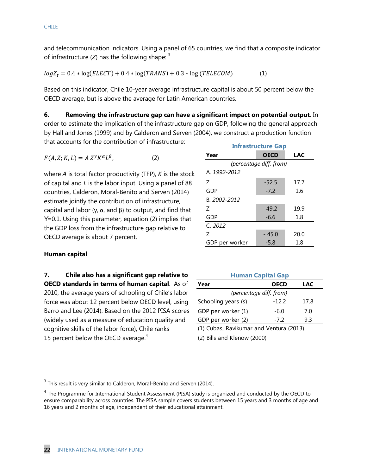and telecommunication indicators. Using a panel of 65 countries, we find that a composite indicator of infrastructure  $(Z)$  has the following shape:  $3$ 

$$
log Z_t = 0.4 * log(ELECT) + 0.4 * log(TRANS) + 0.3 * log(TELECOM)
$$
 (1)

Based on this indicator, Chile 10-year average infrastructure capital is about 50 percent below the OECD average, but is above the average for Latin American countries.

**6. Removing the infrastructure gap can have a significant impact on potential output**. In order to estimate the implication of the infrastructure gap on GDP, following the general approach by Hall and Jones (1999) and by Calderon and Serven (2004), we construct a production function that accounts for the contribution of infrastructure:

$$
F(A, Z; K, L) = A Z^{\gamma} K^{\alpha} L^{\beta}, \qquad (2)
$$

where *A* is total factor productivity (TFP), *K* is the stock of capital and *L* is the labor input. Using a panel of 88 countries, Calderon, Moral-Benito and Serven (2014) estimate jointly the contribution of infrastructure, capital and labor (γ,  $\alpha$ , and β) to output, and find that ϒ=0.1. Using this parameter, equation (2) implies that the GDP loss from the infrastructure gap relative to OECD average is about 7 percent.

|                | <b>Infrastructure Gap</b> |            |
|----------------|---------------------------|------------|
| Year           | <b>OECD</b>               | <b>LAC</b> |
|                | (percentage diff. from)   |            |
| A 1992-2012    |                           |            |
| 7              | $-52.5$                   | 17.7       |
| GDP            | $-7.2$                    | 1.6        |
| B. 2002-2012   |                           |            |
| 7              | $-49.2$                   | 19.9       |
| GDP            | $-6.6$                    | 1.8        |
| C. 2012        |                           |            |
| 7              | $-45.0$                   | 20.0       |
| GDP per worker | $-5.8$                    | 1.8        |

#### **Human capital**

**7. Chile also has a significant gap relative to OECD standards in terms of human capital**. As of 2010, the average years of schooling of Chile's labor force was about 12 percent below OECD level, using Barro and Lee (2014). Based on the 2012 PISA scores (widely used as a measure of education quality and cognitive skills of the labor force), Chile ranks 15 percent below the OECD average. $4$ 

| <b>Human Capital Gap</b> |             |      |  |  |  |  |
|--------------------------|-------------|------|--|--|--|--|
| Year                     | <b>OECD</b> | LAC  |  |  |  |  |
| (percentage diff. from)  |             |      |  |  |  |  |
| Schooling years (s)      | $-12.2$     | 17.8 |  |  |  |  |
| GDP per worker (1)       | $-6.0$      | 7.0  |  |  |  |  |
| GDP per worker (2)       | -72         | 9.3  |  |  |  |  |

(1) Cubas, Ravikumar and Ventura (2013)

(2) Bills and Klenow (2000)

 3 This result is very similar to Calderon, Moral-Benito and Serven (2014).

<sup>&</sup>lt;sup>4</sup> The Programme for International Student Assessment (PISA) study is organized and conducted by the OECD to ensure comparability across countries. The PISA sample covers students between 15 years and 3 months of age and 16 years and 2 months of age, independent of their educational attainment.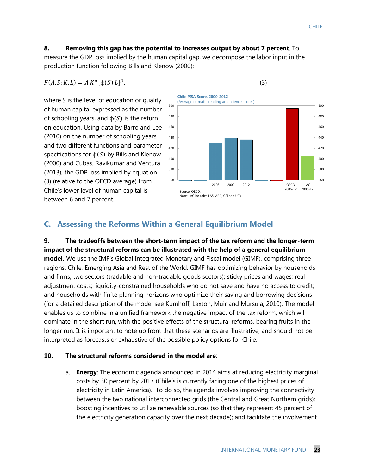## **8. Removing this gap has the potential to increases output by about 7 percent**. To

measure the GDP loss implied by the human capital gap, we decompose the labor input in the production function following Bills and Klenow (2000):

 $F(A, S; K, L) = A K^{\alpha}$ 

where *S* is the level of education or quality of human capital expressed as the number of schooling years, and  $\phi(S)$  is the return on education. Using data by Barro and Lee (2010) on the number of schooling years and two different functions and parameter specifications for  $\phi(S)$  by Bills and Klenow (2000) and Cubas, Ravikumar and Ventura (2013), the GDP loss implied by equation (3) (relative to the OECD average) from Chile's lower level of human capital is between 6 and 7 percent.



# **C. Assessing the Reforms Within a General Equilibrium Model**

**9. The tradeoffs between the short-term impact of the tax reform and the longer-term impact of the structural reforms can be illustrated with the help of a general equilibrium model.** We use the IMF's Global Integrated Monetary and Fiscal model (GIMF), comprising three regions: Chile, Emerging Asia and Rest of the World. GIMF has optimizing behavior by households and firms; two sectors (tradable and non-tradable goods sectors); sticky prices and wages; real adjustment costs; liquidity-constrained households who do not save and have no access to credit; and households with finite planning horizons who optimize their saving and borrowing decisions (for a detailed description of the model see Kumhoff, Laxton, Muir and Mursula, 2010). The model enables us to combine in a unified framework the negative impact of the tax reform, which will dominate in the short run, with the positive effects of the structural reforms, bearing fruits in the longer run. It is important to note up front that these scenarios are illustrative, and should not be interpreted as forecasts or exhaustive of the possible policy options for Chile.

#### **10. The structural reforms considered in the model are**:

a. **Energy**: The economic agenda announced in 2014 aims at reducing electricity marginal costs by 30 percent by 2017 (Chile's is currently facing one of the highest prices of electricity in Latin America). To do so, the agenda involves improving the connectivity between the two national interconnected grids (the Central and Great Northern grids); boosting incentives to utilize renewable sources (so that they represent 45 percent of the electricity generation capacity over the next decade); and facilitate the involvement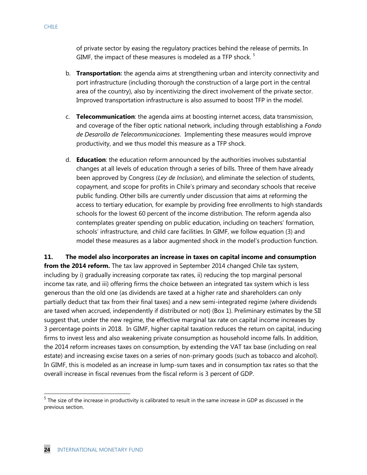- b. **Transportation:** the agenda aims at strengthening urban and intercity connectivity and port infrastructure (including thorough the construction of a large port in the central area of the country), also by incentivizing the direct involvement of the private sector. Improved transportation infrastructure is also assumed to boost TFP in the model.
- c. **Telecommunication**: the agenda aims at boosting internet access, data transmission, and coverage of the fiber optic national network, including through establishing a *Fondo de Desarollo de Telecommunicaciones*. Implementing these measures would improve productivity, and we thus model this measure as a TFP shock.
- d. **Education**: the education reform announced by the authorities involves substantial changes at all levels of education through a series of bills. Three of them have already been approved by Congress (*Ley de Inclusion*), and eliminate the selection of students, copayment, and scope for profits in Chile's primary and secondary schools that receive public funding. Other bills are currently under discussion that aims at reforming the access to tertiary education, for example by providing free enrollments to high standards schools for the lowest 60 percent of the income distribution. The reform agenda also contemplates greater spending on public education, including on teachers' formation, schools' infrastructure, and child care facilities. In GIMF, we follow equation (3) and model these measures as a labor augmented shock in the model's production function.

**11. The model also incorporates an increase in taxes on capital income and consumption from the 2014 reform.** The tax law approved in September 2014 changed Chile tax system, including by i) gradually increasing corporate tax rates, ii) reducing the top marginal personal income tax rate, and iii) offering firms the choice between an integrated tax system which is less generous than the old one (as dividends are taxed at a higher rate and shareholders can only partially deduct that tax from their final taxes) and a new semi-integrated regime (where dividends are taxed when accrued, independently if distributed or not) (Box 1). Preliminary estimates by the SII suggest that, under the new regime, the effective marginal tax rate on capital income increases by 3 percentage points in 2018. In GIMF, higher capital taxation reduces the return on capital, inducing firms to invest less and also weakening private consumption as household income falls. In addition, the 2014 reform increases taxes on consumption, by extending the VAT tax base (including on real estate) and increasing excise taxes on a series of non-primary goods (such as tobacco and alcohol). In GIMF, this is modeled as an increase in lump-sum taxes and in consumption tax rates so that the overall increase in fiscal revenues from the fiscal reform is 3 percent of GDP.

 $\overline{a}$ 

<sup>&</sup>lt;sup>5</sup> The size of the increase in productivity is calibrated to result in the same increase in GDP as discussed in the previous section.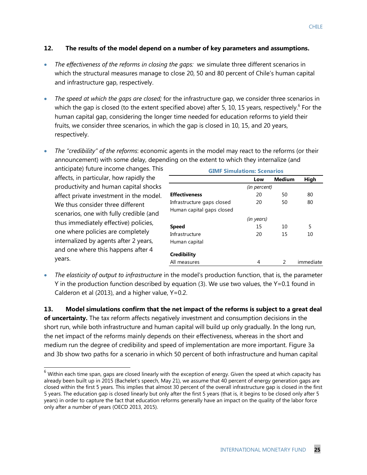#### **12. The results of the model depend on a number of key parameters and assumptions.**

- *The effectiveness of the reforms in closing the gaps:* we simulate three different scenarios in which the structural measures manage to close 20, 50 and 80 percent of Chile's human capital and infrastructure gap, respectively.
- *The speed at which the gaps are closed;* for the infrastructure gap, we consider three scenarios in which the gap is closed (to the extent specified above) after 5, 10, 15 years, respectively.<sup>6</sup> For the human capital gap, considering the longer time needed for education reforms to yield their fruits, we consider three scenarios, in which the gap is closed in 10, 15, and 20 years, respectively.
- *The "credibility" of the reforms*: economic agents in the model may react to the reforms (or their announcement) with some delay, depending on the extent to which they internalize (and

anticipate) future income changes. This affects, in particular, how rapidly the productivity and human capital shocks affect private investment in the model. We thus consider three different scenarios, one with fully credible (and thus immediately effective) policies, one where policies are completely internalized by agents after 2 years, and one where this happens after 4 years.

 $\overline{a}$ 

| <b>GIMF Simulations: Scenarios</b> |              |        |           |  |  |
|------------------------------------|--------------|--------|-----------|--|--|
|                                    | Low          | Medium | High      |  |  |
|                                    | (in percent) |        |           |  |  |
| <b>Effectiveness</b>               | 20           | 50     | 80        |  |  |
| Infrastructure gaps closed         | 20           | 50     | 80        |  |  |
| Human capital gaps closed          |              |        |           |  |  |
|                                    | (in years)   |        |           |  |  |
| <b>Speed</b>                       | 15           | 10     | 5         |  |  |
| Infrastructure                     | 20           | 15     | 10        |  |  |
| Human capital                      |              |        |           |  |  |
| Credibility                        |              |        |           |  |  |
| All measures                       | 4            | 2      | immediate |  |  |

 *The elasticity of output to infrastructure* in the model's production function, that is, the parameter ϒ in the production function described by equation (3). We use two values, the ϒ=0.1 found in Calderon et al (2013), and a higher value, ϒ=0.2.

**13. Model simulations confirm that the net impact of the reforms is subject to a great deal of uncertainty.** The tax reform affects negatively investment and consumption decisions in the short run, while both infrastructure and human capital will build up only gradually. In the long run, the net impact of the reforms mainly depends on their effectiveness, whereas in the short and medium run the degree of credibility and speed of implementation are more important. Figure 3a and 3b show two paths for a scenario in which 50 percent of both infrastructure and human capital

 $^6$  Within each time span, gaps are closed linearly with the exception of energy. Given the speed at which capacity has already been built up in 2015 (Bachelet's speech, May 21), we assume that 40 percent of energy generation gaps are closed within the first 5 years. This implies that almost 30 percent of the overall infrastructure gap is closed in the first 5 years. The education gap is closed linearly but only after the first 5 years (that is, it begins to be closed only after 5 years) in order to capture the fact that education reforms generally have an impact on the quality of the labor force only after a number of years (OECD 2013, 2015).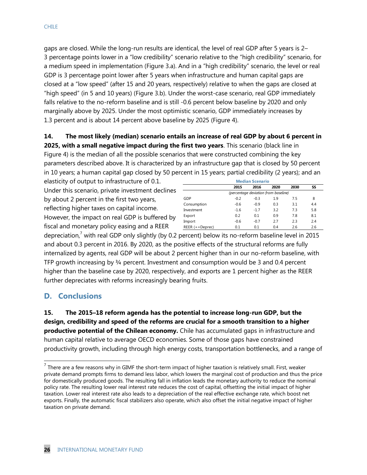gaps are closed. While the long-run results are identical, the level of real GDP after 5 years is 2– 3 percentage points lower in a "low credibility" scenario relative to the "high credibility" scenario, for a medium speed in implementation (Figure 3.a). And in a "high credibility" scenario, the level or real GDP is 3 percentage point lower after 5 years when infrastructure and human capital gaps are closed at a "low speed" (after 15 and 20 years, respectively) relative to when the gaps are closed at "high speed" (in 5 and 10 years) (Figure 3.b). Under the worst-case scenario, real GDP immediately falls relative to the no-reform baseline and is still -0.6 percent below baseline by 2020 and only marginally above by 2025. Under the most optimistic scenario, GDP immediately increases by 1.3 percent and is about 14 percent above baseline by 2025 (Figure 4).

## **14. The most likely (median) scenario entails an increase of real GDP by about 6 percent in 2025, with a small negative impact during the first two years**. This scenario (black line in

Figure 4) is the median of all the possible scenarios that were constructed combining the key parameters described above. It is characterized by an infrastructure gap that is closed by 50 percent in 10 years; a human capital gap closed by 50 percent in 15 years; partial credibility (2 years); and an

elasticity of output to infrastructure of 0.1. Under this scenario, private investment declines by about 2 percent in the first two years, reflecting higher taxes on capital income. However, the impact on real GDP is buffered by fiscal and monetary policy easing and a REER

| <b>Median Scenario</b>               |        |        |      |      |     |
|--------------------------------------|--------|--------|------|------|-----|
|                                      | 2015   | 2016   | 2020 | 2030 | SS  |
| (percentage deviation from baseline) |        |        |      |      |     |
| GDP                                  | $-0.2$ | $-0.3$ | 1.9  | 7.5  | 8   |
| Consumption                          | $-0.6$ | $-0.9$ | 0.3  | 3.1  | 4.4 |
| Investment                           | $-1.6$ | $-1.7$ | 3.2  | 7.3  | 5.8 |
| Export                               | 0.2    | 0.1    | 0.9  | 7.8  | 8.1 |
| Import                               | $-0.6$ | $-0.7$ | 2.7  | 2.3  | 2.4 |
| $REER (+=Deprec)$                    | 0.1    | 0.1    | 0.4  | 2.6  | 2.6 |

depreciation,<sup>7</sup> with real GDP only slightly (by 0.2 percent) below its no-reform baseline level in 2015 and about 0.3 percent in 2016. By 2020, as the positive effects of the structural reforms are fully internalized by agents, real GDP will be about 2 percent higher than in our no-reform baseline, with TFP growth increasing by  $\frac{3}{4}$  percent. Investment and consumption would be 3 and 0.4 percent higher than the baseline case by 2020, respectively, and exports are 1 percent higher as the REER further depreciates with reforms increasingly bearing fruits.

# **D. Conclusions**

 $\overline{a}$ 

**15. The 2015–18 reform agenda has the potential to increase long-run GDP, but the design, credibility and speed of the reforms are crucial for a smooth transition to a higher productive potential of the Chilean economy.** Chile has accumulated gaps in infrastructure and human capital relative to average OECD economies. Some of those gaps have constrained productivity growth, including through high energy costs, transportation bottlenecks, and a range of

 $^7$  There are a few reasons why in GIMF the short-term impact of higher taxation is relatively small. First, weaker private demand prompts firms to demand less labor, which lowers the marginal cost of production and thus the price for domestically produced goods. The resulting fall in inflation leads the monetary authority to reduce the nominal policy rate. The resulting lower real interest rate reduces the cost of capital, offsetting the initial impact of higher taxation. Lower real interest rate also leads to a depreciation of the real effective exchange rate, which boost net exports. Finally, the automatic fiscal stabilizers also operate, which also offset the initial negative impact of higher taxation on private demand.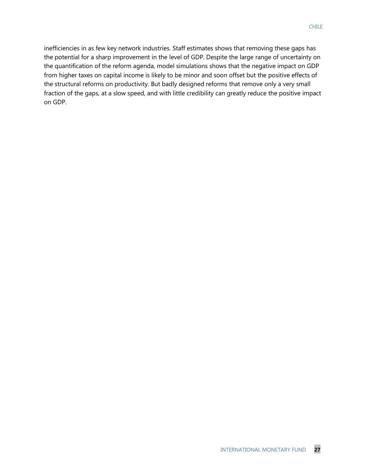inefficiencies in as few key network industries. Staff estimates shows that removing these gaps has the potential for a sharp improvement in the level of GDP. Despite the large range of uncertainty on the quantification of the reform agenda, model simulations shows that the negative impact on GDP from higher taxes on capital income is likely to be minor and soon offset but the positive effects of the structural reforms on productivity. But badly designed reforms that remove only a very small fraction of the gaps, at a slow speed, and with little credibility can greatly reduce the positive impact on GDP.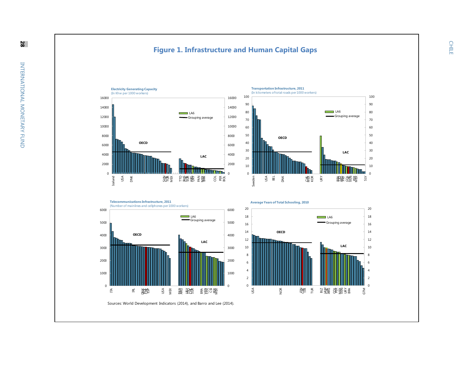#### **Figure 1 . Infrastructure and Human Capital Gap s**







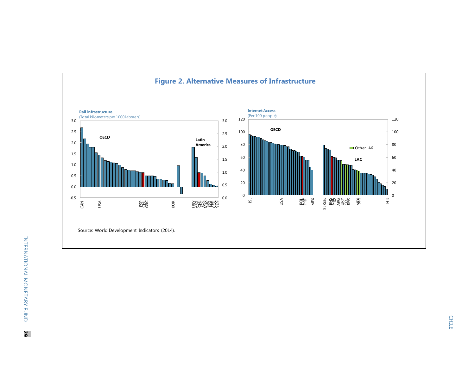

**CHILE** CHILE CHILE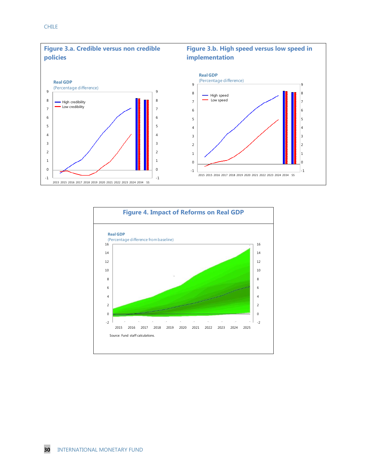

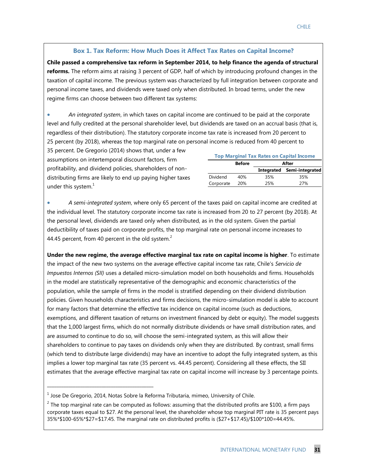#### **Box 1. Tax Reform: How Much Does it Affect Tax Rates on Capital Income?**

**Chile passed a comprehensive tax reform in September 2014, to help finance the agenda of structural reforms.** The reform aims at raising 3 percent of GDP, half of which by introducing profound changes in the taxation of capital income. The previous system was characterized by full integration between corporate and personal income taxes, and dividends were taxed only when distributed. In broad terms, under the new regime firms can choose between two different tax systems:

 *An integrated system*, in which taxes on capital income are continued to be paid at the corporate level and fully credited at the personal shareholder level, but dividends are taxed on an accrual basis (that is, regardless of their distribution). The statutory corporate income tax rate is increased from 20 percent to 25 percent (by 2018), whereas the top marginal rate on personal income is reduced from 40 percent to

35 percent. De Gregorio (2014) shows that, under a few assumptions on intertemporal discount factors, firm profitability, and dividend policies, shareholders of nondistributing firms are likely to end up paying higher taxes under this system. $<sup>1</sup>$ </sup>

| <b>Top Marginal Tax Rates on Capital Income</b> |               |       |                            |  |  |
|-------------------------------------------------|---------------|-------|----------------------------|--|--|
|                                                 | <b>Before</b> | After |                            |  |  |
|                                                 |               |       | Integrated Semi-integrated |  |  |
| <b>Dividend</b>                                 | 40%           | 35%   | 35%                        |  |  |
| Corporate                                       | 20%           | 25%   | 27%                        |  |  |

 *A semi-integrated system*, where only 65 percent of the taxes paid on capital income are credited at the individual level. The statutory corporate income tax rate is increased from 20 to 27 percent (by 2018). At the personal level, dividends are taxed only when distributed, as in the old system. Given the partial deductibility of taxes paid on corporate profits, the top marginal rate on personal income increases to 44.45 percent, from 40 percent in the old system.<sup>2</sup>

**Under the new regime, the average effective marginal tax rate on capital income is higher**. To estimate the impact of the new two systems on the average effective capital income tax rate, Chile's *Servicio de Impuestos Internos (SII)* uses a detailed micro-simulation model on both households and firms. Households in the model are statistically representative of the demographic and economic characteristics of the population, while the sample of firms in the model is stratified depending on their dividend distribution policies. Given households characteristics and firms decisions, the micro-simulation model is able to account for many factors that determine the effective tax incidence on capital income (such as deductions, exemptions, and different taxation of returns on investment financed by debt or equity). The model suggests that the 1,000 largest firms, which do not normally distribute dividends or have small distribution rates, and are assumed to continue to do so, will choose the semi-integrated system, as this will allow their shareholders to continue to pay taxes on dividends only when they are distributed*.* By contrast, small firms (which tend to distribute large dividends) may have an incentive to adopt the fully integrated system, as this implies a lower top marginal tax rate (35 percent vs. 44.45 percent). Considering all these effects, the SII estimates that the average effective marginal tax rate on capital income will increase by 3 percentage points.

\_\_\_\_\_\_\_\_\_\_\_\_\_\_\_\_\_\_\_\_\_\_\_\_\_\_\_\_\_\_\_\_\_\_\_\_\_\_\_\_\_\_\_\_\_

 $^{\rm 1}$  Jose De Gregorio, 2014, Notas Sobre la Reforma Tributaria, mimeo, University of Chile.

<sup>&</sup>lt;sup>2</sup> The top marginal rate can be computed as follows: assuming that the distributed profits are \$100, a firm pays corporate taxes equal to \$27. At the personal level, the shareholder whose top marginal PIT rate is 35 percent pays 35%\*\$100-65%\*\$27=\$17.45. The marginal rate on distributed profits is (\$27+\$17.45)/\$100\*100=44.45%.